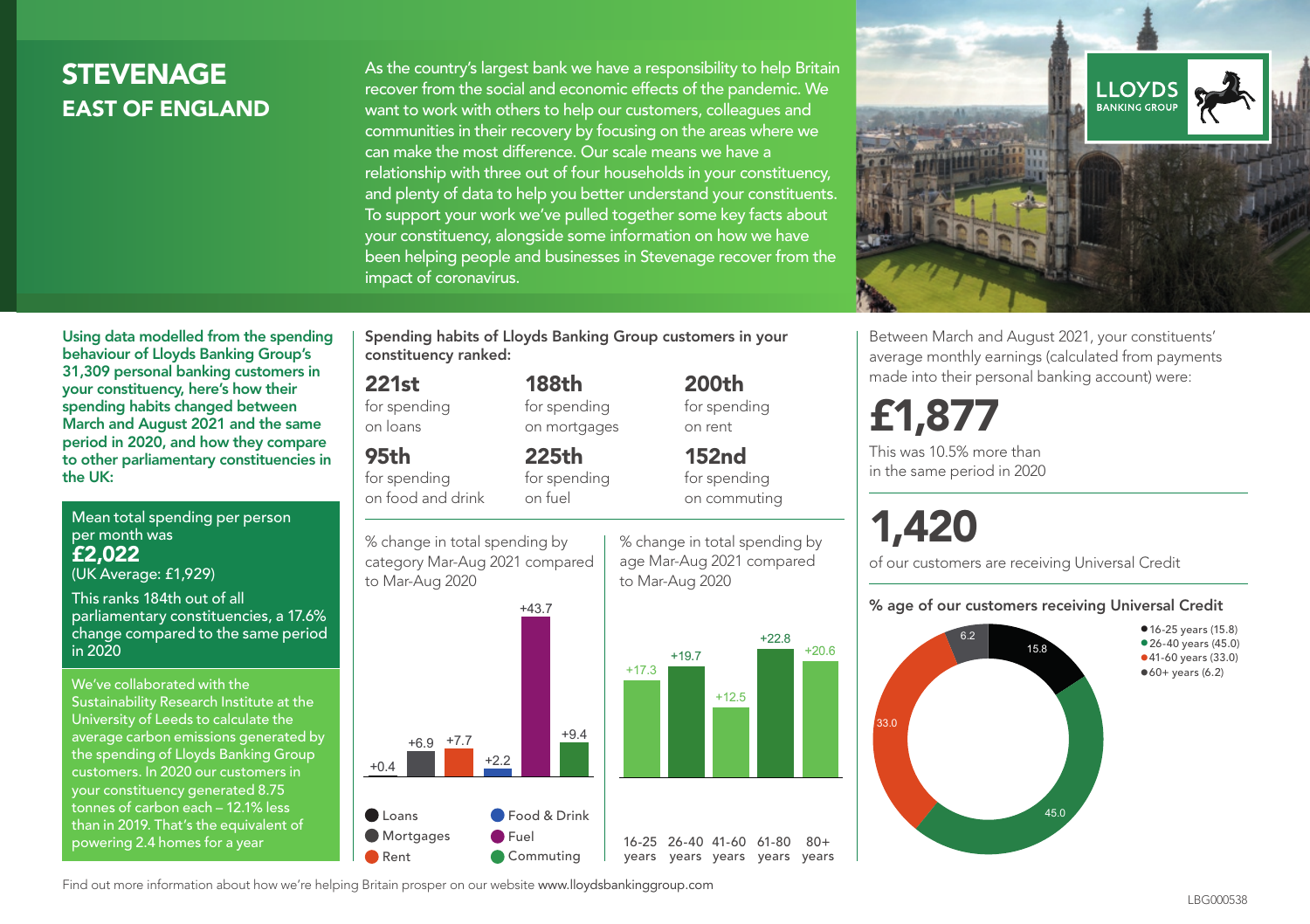### **STEVENAGE** EAST OF ENGLAND

As the country's largest bank we have a responsibility to help Britain recover from the social and economic effects of the pandemic. We want to work with others to help our customers, colleagues and communities in their recovery by focusing on the areas where we can make the most difference. Our scale means we have a relationship with three out of four households in your constituency, and plenty of data to help you better understand your constituents. To support your work we've pulled together some key facts about your constituency, alongside some information on how we have been helping people and businesses in Stevenage recover from the impact of coronavirus.



Between March and August 2021, your constituents' average monthly earnings (calculated from payments made into their personal banking account) were:

## £1,877

This was 10.5% more than in the same period in 2020

# 1,420

of our customers are receiving Universal Credit

#### % age of our customers receiving Universal Credit



Using data modelled from the spending behaviour of Lloyds Banking Group's 31,309 personal banking customers in your constituency, here's how their spending habits changed between March and August 2021 and the same period in 2020, and how they compare to other parliamentary constituencies in the UK:

Mean total spending per person per month was £2,022 (UK Average: £1,929)

This ranks 184th out of all parliamentary constituencies, a 17.6% change compared to the same period in 2020

We've collaborated with the Sustainability Research Institute at the University of Leeds to calculate the average carbon emissions generated by the spending of Lloyds Banking Group customers. In 2020 our customers in your constituency generated 8.75 tonnes of carbon each – 12.1% less than in 2019. That's the equivalent of powering 2.4 homes for a year

Spending habits of Lloyds Banking Group customers in your constituency ranked:

> 188th for spending on mortgages

225th for spending on fuel

#### 221st

for spending on loans

95th

for spending on food and drink

% change in total spending by category Mar-Aug 2021 compared



% change in total spending by age Mar-Aug 2021 compared to Mar-Aug 2020

200th for spending on rent

152nd for spending on commuting



Find out more information about how we're helping Britain prosper on our website www.lloydsbankinggroup.com